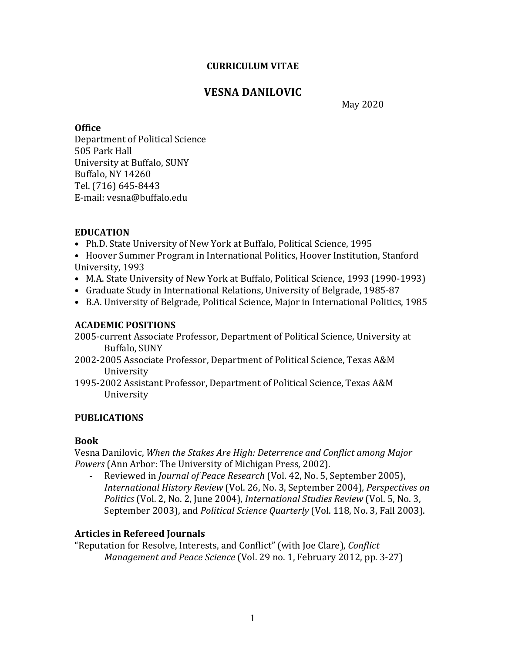#### **CURRICULUM VITAE**

# **VESNA DANILOVIC**

May 2020

#### **Office**

Department of Political Science 505 Park Hall University at Buffalo, SUNY Buffalo, NY 14260 Tel. (716) 645-8443 E-mail: vesna@buffalo.edu

### **EDUCATION**

- Ph.D. State University of New York at Buffalo, Political Science, 1995
- Hoover Summer Program in International Politics, Hoover Institution, Stanford University, 1993
- M.A. State University of New York at Buffalo, Political Science, 1993 (1990-1993)
- Graduate Study in International Relations, University of Belgrade, 1985-87
- B.A. University of Belgrade, Political Science, Major in International Politics, 1985

### **ACADEMIC POSITIONS**

- 2005-current Associate Professor, Department of Political Science, University at Buffalo, SUNY
- 2002-2005 Associate Professor, Department of Political Science, Texas A&M University
- 1995-2002 Assistant Professor, Department of Political Science, Texas A&M University

## **PUBLICATIONS**

### **Book**

Vesna Danilovic, When the Stakes Are High: Deterrence and Conflict among Major *Powers* (Ann Arbor: The University of Michigan Press, 2002).

- Reviewed in *Journal of Peace Research* (Vol. 42, No. 5, September 2005), *International History Review* (Vol. 26, No. 3, September 2004)*, Perspectives on Politics* (Vol. 2, No. 2, June 2004), *International Studies Review* (Vol. 5, No. 3, September 2003), and *Political Science Quarterly* (Vol. 118, No. 3, Fall 2003).

### **Articles in Refereed Journals**

"Reputation for Resolve, Interests, and Conflict" (with Joe Clare), *Conflict Management and Peace Science* (Vol. 29 no. 1, February 2012, pp. 3-27)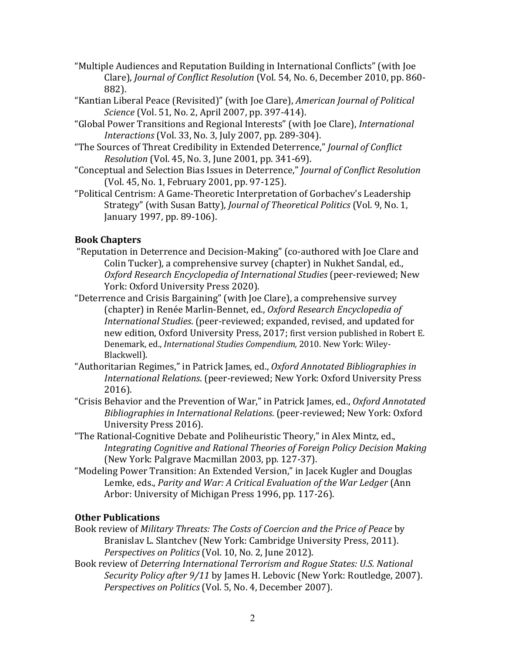- "Multiple Audiences and Reputation Building in International Conflicts" (with Joe Clare), *Journal of Conflict Resolution* (Vol. 54, No. 6, December 2010, pp. 860-882).
- "Kantian Liberal Peace (Revisited)" (with Joe Clare), *American Journal of Political Science* (Vol. 51, No. 2, April 2007, pp. 397-414).
- "Global Power Transitions and Regional Interests" (with Joe Clare), *International Interactions* (Vol. 33, No. 3, July 2007, pp. 289-304).
- "The Sources of Threat Credibility in Extended Deterrence," *Journal of Conflict Resolution* (Vol. 45, No. 3, June 2001, pp. 341-69).
- "Conceptual and Selection Bias Issues in Deterrence," *Journal of Conflict Resolution* (Vol. 45, No. 1, February 2001, pp. 97-125).
- "Political Centrism: A Game-Theoretic Interpretation of Gorbachev's Leadership Strategy" (with Susan Batty), *Journal of Theoretical Politics* (Vol. 9, No. 1, January 1997, pp. 89-106).

## **Book Chapters**

- "Reputation in Deterrence and Decision-Making" (co-authored with Joe Clare and Colin Tucker), a comprehensive survey (chapter) in Nukhet Sandal, ed., *Oxford Research Encyclopedia of International Studies* (peer-reviewed; New York: Oxford University Press 2020).
- "Deterrence and Crisis Bargaining" (with Joe Clare), a comprehensive survey (chapter) in Renée Marlin-Bennet, ed., *Oxford Research Encyclopedia of International Studies.* (peer-reviewed; expanded, revised, and updated for new edition, Oxford University Press, 2017; first version published in Robert E. Denemark, ed., *International Studies Compendium,* 2010. New York: Wiley-Blackwell).
- "Authoritarian Regimes," in Patrick James, ed., *Oxford Annotated Bibliographies in International Relations*. (peer-reviewed; New York: Oxford University Press 2016).
- "Crisis Behavior and the Prevention of War," in Patrick James, ed., Oxford Annotated *Bibliographies in International Relations.* (peer-reviewed; New York: Oxford University Press 2016).
- "The Rational-Cognitive Debate and Poliheuristic Theory," in Alex Mintz, ed., *Integrating Cognitive and Rational Theories of Foreign Policy Decision Making* (New York: Palgrave Macmillan 2003, pp. 127-37).
- "Modeling Power Transition: An Extended Version," in Jacek Kugler and Douglas Lemke, eds., *Parity and War: A Critical Evaluation of the War Ledger* (Ann Arbor: University of Michigan Press 1996, pp. 117-26).

### **Other Publications**

- Book review of *Military Threats: The Costs of Coercion and the Price of Peace* by Branislav L. Slantchev (New York: Cambridge University Press, 2011). *Perspectives on Politics* (Vol. 10, No. 2, June 2012).
- Book review of *Deterring International Terrorism and Rogue States: U.S. National Security Policy after 9/11* by James H. Lebovic (New York: Routledge, 2007). *Perspectives on Politics* (Vol. 5, No. 4, December 2007).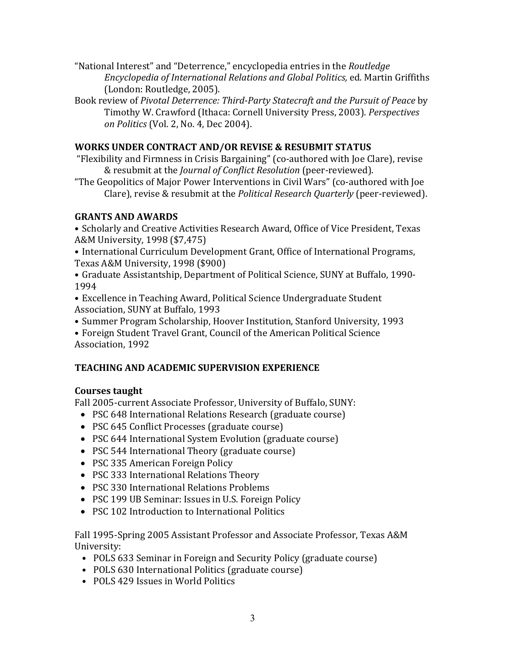- "National Interest" and "Deterrence," encyclopedia entries in the *Routledge Encyclopedia of International Relations and Global Politics,* ed. Martin Griffiths (London: Routledge, 2005).
- Book review of Pivotal Deterrence: Third-Party Statecraft and the Pursuit of Peace by Timothy W. Crawford (Ithaca: Cornell University Press, 2003). *Perspectives on Politics* (Vol. 2, No. 4, Dec 2004).

### **WORKS UNDER CONTRACT AND/OR REVISE & RESUBMIT STATUS**

- "Flexibility and Firmness in Crisis Bargaining" (co-authored with Joe Clare), revise & resubmit at the *Journal of Conflict Resolution* (peer-reviewed).
- "The Geopolitics of Major Power Interventions in Civil Wars" (co-authored with Joe Clare), revise & resubmit at the *Political Research Quarterly* (peer-reviewed).

### **GRANTS AND AWARDS**

• Scholarly and Creative Activities Research Award, Office of Vice President, Texas A&M University, 1998 (\$7,475)

- International Curriculum Development Grant, Office of International Programs, Texas A&M University, 1998 (\$900)
- Graduate Assistantship, Department of Political Science, SUNY at Buffalo, 1990-1994
- Excellence in Teaching Award, Political Science Undergraduate Student Association, SUNY at Buffalo, 1993
- Summer Program Scholarship, Hoover Institution, Stanford University, 1993
- Foreign Student Travel Grant, Council of the American Political Science Association, 1992

## **TEACHING AND ACADEMIC SUPERVISION EXPERIENCE**

## **Courses taught**

Fall 2005-current Associate Professor, University of Buffalo, SUNY:

- PSC 648 International Relations Research (graduate course)
- PSC 645 Conflict Processes (graduate course)
- PSC 644 International System Evolution (graduate course)
- PSC 544 International Theory (graduate course)
- PSC 335 American Foreign Policy
- PSC 333 International Relations Theory
- PSC 330 International Relations Problems
- PSC 199 UB Seminar: Issues in U.S. Foreign Policy
- PSC 102 Introduction to International Politics

Fall 1995-Spring 2005 Assistant Professor and Associate Professor, Texas A&M University: 

- POLS 633 Seminar in Foreign and Security Policy (graduate course)
- POLS 630 International Politics (graduate course)
- POLS 429 Issues in World Politics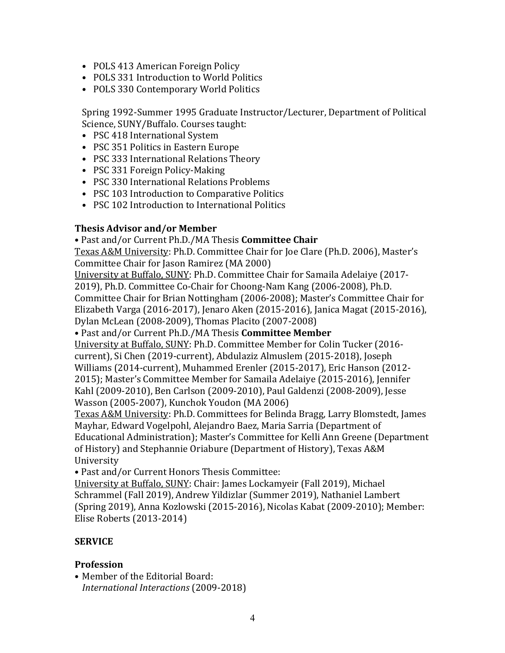- POLS 413 American Foreign Policy
- POLS 331 Introduction to World Politics
- POLS 330 Contemporary World Politics

Spring 1992-Summer 1995 Graduate Instructor/Lecturer, Department of Political Science, SUNY/Buffalo. Courses taught:

- PSC 418 International System
- PSC 351 Politics in Eastern Europe
- PSC 333 International Relations Theory
- PSC 331 Foreign Policy-Making
- PSC 330 International Relations Problems
- PSC 103 Introduction to Comparative Politics
- PSC 102 Introduction to International Politics

### **Thesis Advisor and/or Member**

### • Past and/or Current Ph.D./MA Thesis **Committee Chair**

Texas A&M University: Ph.D. Committee Chair for Joe Clare (Ph.D. 2006), Master's Committee Chair for Jason Ramirez (MA 2000)

University at Buffalo, SUNY: Ph.D. Committee Chair for Samaila Adelaiye (2017-2019), Ph.D. Committee Co-Chair for Choong-Nam Kang (2006-2008), Ph.D. Committee Chair for Brian Nottingham (2006-2008); Master's Committee Chair for Elizabeth Varga (2016-2017), Jenaro Aken (2015-2016), Janica Magat (2015-2016),

Dylan McLean (2008-2009), Thomas Placito (2007-2008)

• Past and/or Current Ph.D./MA Thesis **Committee Member** 

University at Buffalo, SUNY: Ph.D. Committee Member for Colin Tucker (2016current), Si Chen (2019-current), Abdulaziz Almuslem (2015-2018), Joseph Williams (2014-current), Muhammed Erenler (2015-2017), Eric Hanson (2012-2015); Master's Committee Member for Samaila Adelaiye (2015-2016), Jennifer Kahl (2009-2010), Ben Carlson (2009-2010), Paul Galdenzi (2008-2009), Jesse Wasson (2005-2007), Kunchok Youdon (MA 2006)

Texas A&M University: Ph.D. Committees for Belinda Bragg, Larry Blomstedt, James Mayhar, Edward Vogelpohl, Alejandro Baez, Maria Sarria (Department of Educational Administration); Master's Committee for Kelli Ann Greene (Department of History) and Stephannie Oriabure (Department of History), Texas A&M University

• Past and/or Current Honors Thesis Committee:

University at Buffalo, SUNY: Chair: James Lockamyeir (Fall 2019), Michael Schrammel (Fall 2019), Andrew Yildizlar (Summer 2019), Nathaniel Lambert (Spring 2019), Anna Kozlowski (2015-2016), Nicolas Kabat (2009-2010); Member: Elise Roberts (2013-2014)

## **SERVICE**

## **Profession**

• Member of the Editorial Board: *International Interactions* (2009-2018)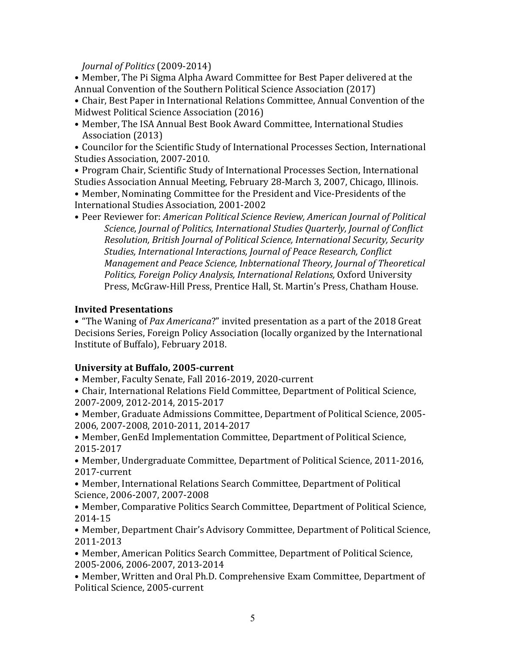*Journal of Politics* (2009-2014) 

• Member, The Pi Sigma Alpha Award Committee for Best Paper delivered at the Annual Convention of the Southern Political Science Association (2017)

• Chair, Best Paper in International Relations Committee, Annual Convention of the Midwest Political Science Association (2016)

• Member, The ISA Annual Best Book Award Committee, International Studies Association (2013)

• Councilor for the Scientific Study of International Processes Section, International Studies Association, 2007-2010.

• Program Chair, Scientific Study of International Processes Section, International Studies Association Annual Meeting, February 28-March 3, 2007, Chicago, Illinois.

• Member, Nominating Committee for the President and Vice-Presidents of the International Studies Association, 2001-2002

• Peer Reviewer for: *American Political Science Review, American Journal of Political* Science, Journal of Politics, International Studies Quarterly, Journal of Conflict *Resolution, British Journal of Political Science, International Security, Security Studies, International Interactions, Journal of Peace Research, Conflict Management and Peace Science, Inbternational Theory, Journal of Theoretical Politics, Foreign Policy Analysis, International Relations,* Oxford University Press, McGraw-Hill Press, Prentice Hall, St. Martin's Press, Chatham House.

### **Invited Presentations**

• "The Waning of *Pax Americana?"* invited presentation as a part of the 2018 Great Decisions Series, Foreign Policy Association (locally organized by the International Institute of Buffalo), February 2018.

### **University at Buffalo, 2005-current**

• Member, Faculty Senate, Fall 2016-2019, 2020-current

• Chair, International Relations Field Committee, Department of Political Science, 2007-2009, 2012-2014, 2015-2017

• Member, Graduate Admissions Committee, Department of Political Science, 2005-2006, 2007-2008, 2010-2011, 2014-2017

• Member, GenEd Implementation Committee, Department of Political Science, 2015-2017

• Member, Undergraduate Committee, Department of Political Science, 2011-2016, 2017-current

• Member, International Relations Search Committee, Department of Political Science, 2006-2007, 2007-2008

• Member, Comparative Politics Search Committee, Department of Political Science, 2014-15

• Member, Department Chair's Advisory Committee, Department of Political Science, 2011-2013

• Member, American Politics Search Committee, Department of Political Science, 2005-2006, 2006-2007, 2013-2014

• Member, Written and Oral Ph.D. Comprehensive Exam Committee, Department of Political Science, 2005-current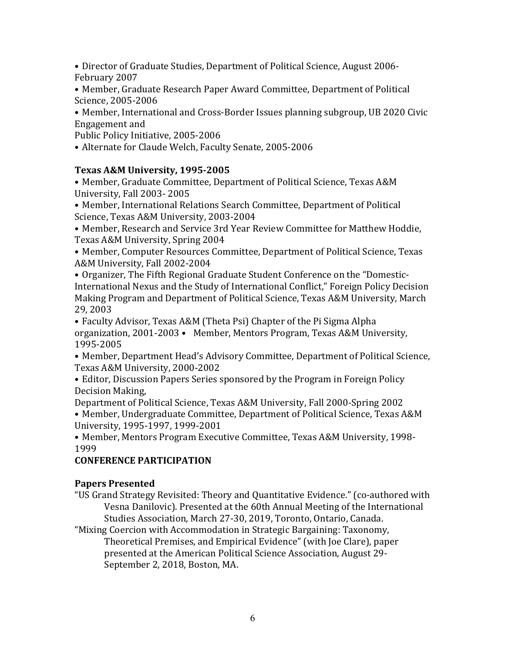• Director of Graduate Studies, Department of Political Science, August 2006-February 2007

• Member, Graduate Research Paper Award Committee, Department of Political Science, 2005-2006 

• Member, International and Cross-Border Issues planning subgroup, UB 2020 Civic Engagement and

Public Policy Initiative, 2005-2006

• Alternate for Claude Welch, Faculty Senate, 2005-2006

### Texas A&M University, 1995-2005

• Member, Graduate Committee, Department of Political Science, Texas A&M University, Fall 2003-2005

• Member, International Relations Search Committee, Department of Political Science, Texas A&M University, 2003-2004

• Member, Research and Service 3rd Year Review Committee for Matthew Hoddie, Texas A&M University, Spring 2004

• Member, Computer Resources Committee, Department of Political Science, Texas A&M University, Fall 2002-2004

• Organizer, The Fifth Regional Graduate Student Conference on the "Domestic-International Nexus and the Study of International Conflict," Foreign Policy Decision Making Program and Department of Political Science, Texas A&M University, March 29, 2003

• Faculty Advisor, Texas A&M (Theta Psi) Chapter of the Pi Sigma Alpha organization, 2001-2003 • Member, Mentors Program, Texas A&M University, 1995-2005 

• Member, Department Head's Advisory Committee, Department of Political Science, Texas A&M University, 2000-2002

• Editor, Discussion Papers Series sponsored by the Program in Foreign Policy Decision Making,

Department of Political Science, Texas A&M University, Fall 2000-Spring 2002

• Member, Undergraduate Committee, Department of Political Science, Texas A&M University, 1995-1997, 1999-2001

• Member, Mentors Program Executive Committee, Texas A&M University, 1998-1999

## **CONFERENCE PARTICIPATION**

### **Papers Presented**

"US Grand Strategy Revisited: Theory and Quantitative Evidence." (co-authored with Vesna Danilovic). Presented at the 60th Annual Meeting of the International Studies Association, March 27-30, 2019, Toronto, Ontario, Canada.

"Mixing Coercion with Accommodation in Strategic Bargaining: Taxonomy, Theoretical Premises, and Empirical Evidence" (with Joe Clare), paper presented at the American Political Science Association, August 29-September 2, 2018, Boston, MA.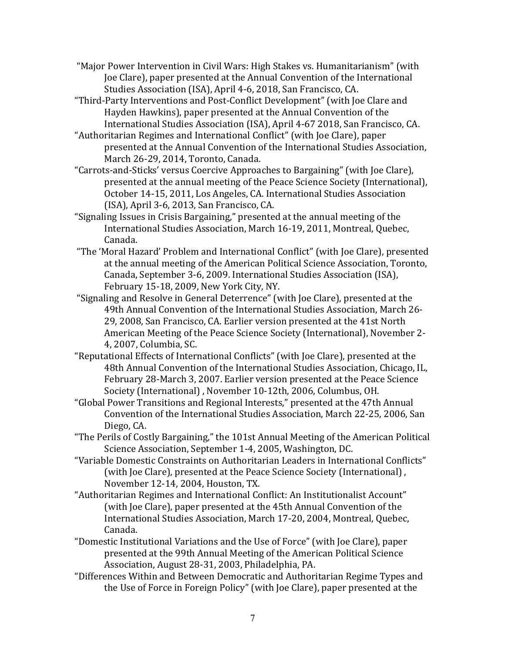- "Major Power Intervention in Civil Wars: High Stakes vs. Humanitarianism" (with Joe Clare), paper presented at the Annual Convention of the International Studies Association (ISA), April 4-6, 2018, San Francisco, CA.
- "Third-Party Interventions and Post-Conflict Development" (with Joe Clare and Hayden Hawkins), paper presented at the Annual Convention of the International Studies Association (ISA), April 4-67 2018, San Francisco, CA.
- "Authoritarian Regimes and International Conflict" (with Joe Clare), paper presented at the Annual Convention of the International Studies Association, March 26-29, 2014, Toronto, Canada.
- "Carrots-and-Sticks' versus Coercive Approaches to Bargaining" (with Joe Clare), presented at the annual meeting of the Peace Science Society (International), October 14-15, 2011, Los Angeles, CA. International Studies Association  $(ISA)$ , April 3-6, 2013, San Francisco, CA.
- "Signaling Issues in Crisis Bargaining," presented at the annual meeting of the International Studies Association, March 16-19, 2011, Montreal, Quebec, Canada.
- "The 'Moral Hazard' Problem and International Conflict" (with Joe Clare), presented at the annual meeting of the American Political Science Association, Toronto, Canada, September 3-6, 2009. International Studies Association (ISA), February 15-18, 2009, New York City, NY.
- "Signaling and Resolve in General Deterrence" (with Joe Clare), presented at the 49th Annual Convention of the International Studies Association, March 26-29, 2008, San Francisco, CA. Earlier version presented at the 41st North American Meeting of the Peace Science Society (International), November 2-4, 2007, Columbia, SC.
- "Reputational Effects of International Conflicts" (with Joe Clare), presented at the 48th Annual Convention of the International Studies Association, Chicago, IL, February 28-March 3, 2007. Earlier version presented at the Peace Science Society (International), November 10-12th, 2006, Columbus, OH.
- "Global Power Transitions and Regional Interests," presented at the 47th Annual Convention of the International Studies Association, March 22-25, 2006, San Diego, CA.
- "The Perils of Costly Bargaining," the 101st Annual Meeting of the American Political Science Association, September 1-4, 2005, Washington, DC.
- "Variable Domestic Constraints on Authoritarian Leaders in International Conflicts" (with Joe Clare), presented at the Peace Science Society (International), November 12-14, 2004, Houston, TX.
- "Authoritarian Regimes and International Conflict: An Institutionalist Account" (with Joe Clare), paper presented at the 45th Annual Convention of the International Studies Association, March 17-20, 2004, Montreal, Quebec, Canada.
- "Domestic Institutional Variations and the Use of Force" (with Joe Clare), paper presented at the 99th Annual Meeting of the American Political Science Association, August 28-31, 2003, Philadelphia, PA.
- "Differences Within and Between Democratic and Authoritarian Regime Types and the Use of Force in Foreign Policy" (with Joe Clare), paper presented at the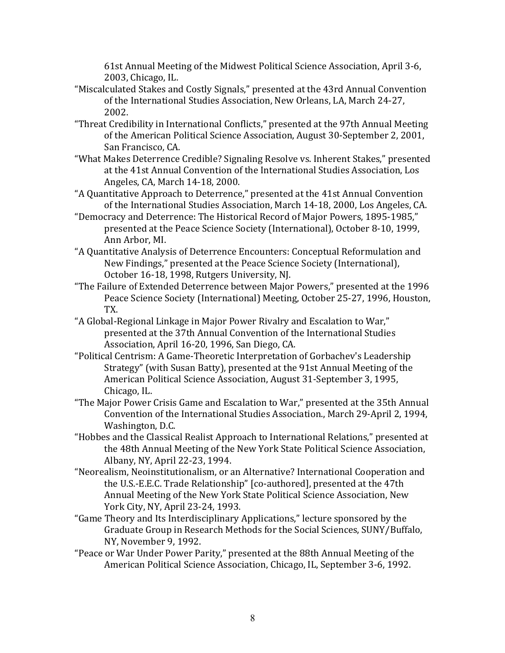61st Annual Meeting of the Midwest Political Science Association, April 3-6, 2003, Chicago, IL.

- "Miscalculated Stakes and Costly Signals," presented at the 43rd Annual Convention of the International Studies Association, New Orleans, LA, March 24-27, 2002.
- "Threat Credibility in International Conflicts," presented at the 97th Annual Meeting of the American Political Science Association, August 30-September 2, 2001, San Francisco, CA.
- "What Makes Deterrence Credible? Signaling Resolve vs. Inherent Stakes," presented at the 41st Annual Convention of the International Studies Association, Los Angeles, CA, March 14-18, 2000.
- "A Quantitative Approach to Deterrence," presented at the 41st Annual Convention of the International Studies Association, March 14-18, 2000, Los Angeles, CA.
- "Democracy and Deterrence: The Historical Record of Major Powers, 1895-1985," presented at the Peace Science Society (International), October 8-10, 1999, Ann Arbor, MI.
- "A Quantitative Analysis of Deterrence Encounters: Conceptual Reformulation and New Findings," presented at the Peace Science Society (International), October 16-18, 1998, Rutgers University, NJ.
- "The Failure of Extended Deterrence between Major Powers," presented at the 1996 Peace Science Society (International) Meeting, October 25-27, 1996, Houston, TX.
- "A Global-Regional Linkage in Major Power Rivalry and Escalation to War," presented at the 37th Annual Convention of the International Studies Association, April 16-20, 1996, San Diego, CA.
- "Political Centrism: A Game-Theoretic Interpretation of Gorbachev's Leadership Strategy" (with Susan Batty), presented at the 91st Annual Meeting of the American Political Science Association, August 31-September 3, 1995, Chicago, IL.
- "The Major Power Crisis Game and Escalation to War," presented at the 35th Annual Convention of the International Studies Association., March 29-April 2, 1994, Washington, D.C.
- "Hobbes and the Classical Realist Approach to International Relations," presented at the 48th Annual Meeting of the New York State Political Science Association, Albany, NY, April 22-23, 1994.
- "Neorealism, Neoinstitutionalism, or an Alternative? International Cooperation and the U.S.-E.E.C. Trade Relationship" [co-authored], presented at the 47th Annual Meeting of the New York State Political Science Association, New York City, NY, April 23-24, 1993.
- "Game Theory and Its Interdisciplinary Applications," lecture sponsored by the Graduate Group in Research Methods for the Social Sciences, SUNY/Buffalo, NY, November 9, 1992.
- "Peace or War Under Power Parity," presented at the 88th Annual Meeting of the American Political Science Association, Chicago, IL, September 3-6, 1992.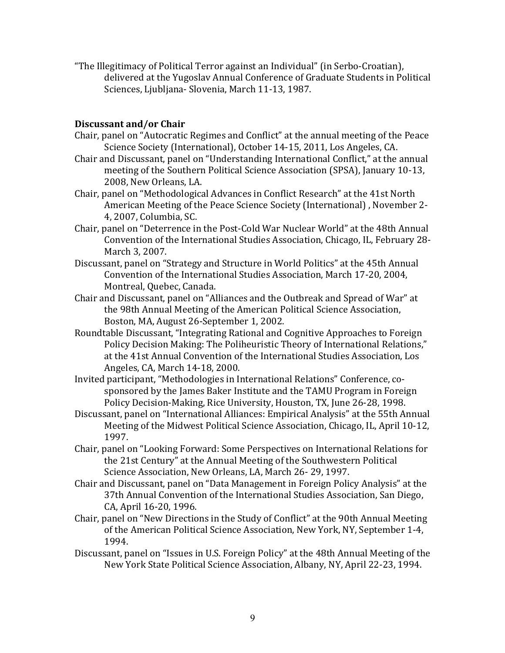"The Illegitimacy of Political Terror against an Individual" (in Serbo-Croatian), delivered at the Yugoslav Annual Conference of Graduate Students in Political Sciences, Ljubljana- Slovenia, March 11-13, 1987.

#### **Discussant and/or Chair**

- Chair, panel on "Autocratic Regimes and Conflict" at the annual meeting of the Peace Science Society (International), October 14-15, 2011, Los Angeles, CA.
- Chair and Discussant, panel on "Understanding International Conflict," at the annual meeting of the Southern Political Science Association (SPSA), January 10-13, 2008, New Orleans, LA.
- Chair, panel on "Methodological Advances in Conflict Research" at the 41st North American Meeting of the Peace Science Society (International), November 2-4, 2007, Columbia, SC.
- Chair, panel on "Deterrence in the Post-Cold War Nuclear World" at the 48th Annual Convention of the International Studies Association, Chicago, IL, February 28-March 3, 2007.
- Discussant, panel on "Strategy and Structure in World Politics" at the 45th Annual Convention of the International Studies Association, March 17-20, 2004, Montreal, Quebec, Canada.
- Chair and Discussant, panel on "Alliances and the Outbreak and Spread of War" at the 98th Annual Meeting of the American Political Science Association, Boston, MA, August 26-September 1, 2002.
- Roundtable Discussant, "Integrating Rational and Cognitive Approaches to Foreign Policy Decision Making: The Poliheuristic Theory of International Relations," at the 41st Annual Convention of the International Studies Association, Los Angeles, CA, March 14-18, 2000.
- Invited participant, "Methodologies in International Relations" Conference, cosponsored by the James Baker Institute and the TAMU Program in Foreign Policy Decision-Making, Rice University, Houston, TX, June 26-28, 1998.
- Discussant, panel on "International Alliances: Empirical Analysis" at the 55th Annual Meeting of the Midwest Political Science Association, Chicago, IL, April 10-12, 1997.
- Chair, panel on "Looking Forward: Some Perspectives on International Relations for the 21st Century" at the Annual Meeting of the Southwestern Political Science Association, New Orleans, LA, March 26- 29, 1997.
- Chair and Discussant, panel on "Data Management in Foreign Policy Analysis" at the 37th Annual Convention of the International Studies Association, San Diego, CA, April 16-20, 1996.
- Chair, panel on "New Directions in the Study of Conflict" at the 90th Annual Meeting of the American Political Science Association, New York, NY, September 1-4, 1994.
- Discussant, panel on "Issues in U.S. Foreign Policy" at the 48th Annual Meeting of the New York State Political Science Association, Albany, NY, April 22-23, 1994.